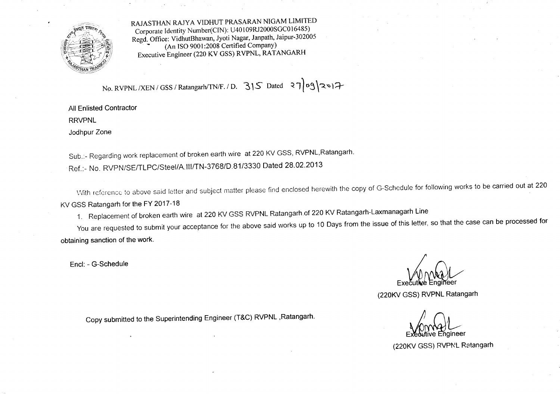

RAJASTHAN RAJY A VIDHUT PRASARAN NIGAM LIMITED Corporate Identity Number(CIN): U40109RJ2000SGC016485) Regd. Office: VidhutBhawan, Jyoti Nagar, Janpath, Jaipur-302005 (An ISO 9001:2008 Certified Company) Executive Engineer (220 KV GSS) RVPNL, RATANGARH

No. RVPNL /XEN / GSS / Ratangarh/TN/F. / D. 315 Dated  $370912$ 

All Enlisted Contractor

RRVPNL

Jodhpur Zone

Sub.:- Regarding work replacement of broken earth wire at 220 KV GSS, RVPNL,Ratangarh.

Ref.:- No. RVPN/SE/TLPC/Steel/A.III/TN-3768/D.81/3330 Dated 28.02.2013

With reference to above said letter and subject matter please find enclosed herewith the copy of G-Schedule for following works to be carried out at 220 KV GSS Ratangarh for the FY 2017-18

1. Replacement of broken earth wire at 220 KV GSS RVPNL Ratangarh.of 220 KV Ratangarh-Laxmanagarh Line

You are requested to submit your acceptance for the above said works up to 10 Days from the issue of this letter, so that the case can be processed for obtaining sanction of the work.

Encl: - G-Schedule

Executive Engine

(220KV GSS) RVPNL Ratangarh

Copy submitted to the Superintending Engineer (T&C) RVPNL ,Ratangarh.<br>Executive Engineer

(220KV GSS) RVPNL Ratangarh